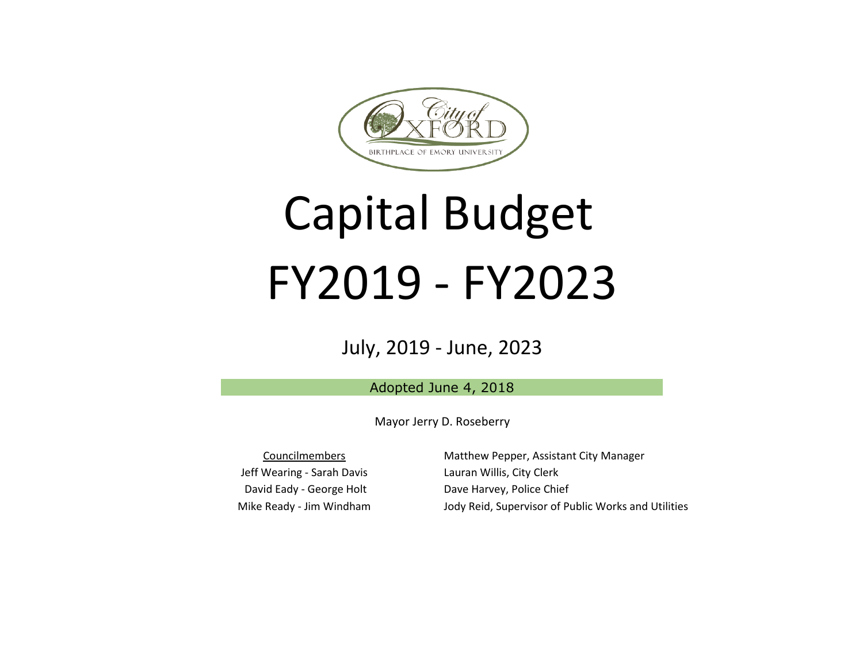

# Capital Budget FY2019 - FY2023

### July, 2019 - June, 2023

Adopted June 4, 2018

Mayor Jerry D. Roseberry

Councilmembers Jeff Wearing - Sarah Davis David Eady - George Holt Mike Ready - Jim Windham Matthew Pepper, Assistant City Manager Lauran Willis, City Clerk Dave Harvey, Police Chief Jody Reid, Supervisor of Public Works and Utilities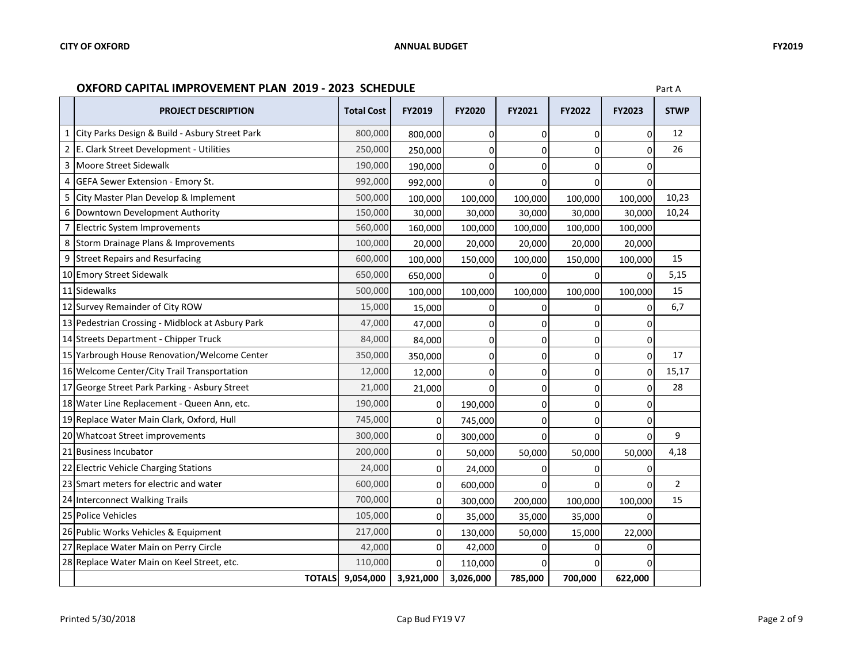#### **OXFORD CAPITAL IMPROVEMENT PLAN 2019 - 2023 SCHEDULE**

|   | <b>PROJECT DESCRIPTION</b>                       | <b>Total Cost</b> | <b>FY2019</b>  | <b>FY2020</b> | <b>FY2021</b> | <b>FY2022</b> | <b>FY2023</b> | <b>STWP</b>    |
|---|--------------------------------------------------|-------------------|----------------|---------------|---------------|---------------|---------------|----------------|
|   | City Parks Design & Build - Asbury Street Park   | 800,000           | 800,000        | 0             | 0             | $\mathbf 0$   | 0             | 12             |
|   | 2 E. Clark Street Development - Utilities        | 250,000           | 250,000        | $\mathbf 0$   | $\Omega$      | $\Omega$      | 0             | 26             |
| 3 | Moore Street Sidewalk                            | 190,000           | 190,000        | $\Omega$      | $\Omega$      | $\Omega$      |               |                |
|   | GEFA Sewer Extension - Emory St.                 | 992,000           | 992,000        | $\mathbf 0$   | $\Omega$      | $\Omega$      | U             |                |
| 5 | City Master Plan Develop & Implement             | 500,000           | 100,000        | 100,000       | 100,000       | 100,000       | 100,000       | 10,23          |
| 6 | Downtown Development Authority                   | 150,000           | 30,000         | 30,000        | 30,000        | 30,000        | 30,000        | 10,24          |
|   | Electric System Improvements                     | 560,000           | 160,000        | 100,000       | 100,000       | 100,000       | 100,000       |                |
|   | 8 Storm Drainage Plans & Improvements            | 100,000           | 20,000         | 20,000        | 20,000        | 20,000        | 20,000        |                |
| 9 | <b>Street Repairs and Resurfacing</b>            | 600,000           | 100,000        | 150,000       | 100,000       | 150,000       | 100,000       | 15             |
|   | 10 Emory Street Sidewalk                         | 650,000           | 650,000        | $\Omega$      | $\Omega$      | $\Omega$      | 0             | 5,15           |
|   | 11 Sidewalks                                     | 500,000           | 100,000        | 100,000       | 100,000       | 100,000       | 100,000       | 15             |
|   | 12 Survey Remainder of City ROW                  | 15,000            | 15,000         | $\mathbf 0$   | 0             | 0             |               | 6,7            |
|   | 13 Pedestrian Crossing - Midblock at Asbury Park | 47,000            | 47,000         | $\mathbf 0$   | $\Omega$      | $\Omega$      |               |                |
|   | 14 Streets Department - Chipper Truck            | 84,000            | 84,000         | 0             | 0             | $\Omega$      | 0             |                |
|   | 15 Yarbrough House Renovation/Welcome Center     | 350,000           | 350,000        | $\mathbf 0$   | 0             | 0             | $\Omega$      | 17             |
|   | 16 Welcome Center/City Trail Transportation      | 12,000            | 12,000         | $\mathbf 0$   | 0             | $\Omega$      | 0             | 15,17          |
|   | 17 George Street Park Parking - Asbury Street    | 21,000            | 21,000         | $\Omega$      | $\Omega$      | $\Omega$      | $\Omega$      | 28             |
|   | 18 Water Line Replacement - Queen Ann, etc.      | 190,000           | $\overline{0}$ | 190,000       | 0             | $\Omega$      | 0             |                |
|   | 19 Replace Water Main Clark, Oxford, Hull        | 745,000           | $\mathbf 0$    | 745,000       | 0             | $\Omega$      | 0             |                |
|   | 20 Whatcoat Street improvements                  | 300,000           | $\mathbf 0$    | 300,000       | $\Omega$      | $\Omega$      | 0             | 9              |
|   | 21 Business Incubator                            | 200,000           | $\mathbf 0$    | 50,000        | 50,000        | 50,000        | 50,000        | 4,18           |
|   | 22 Electric Vehicle Charging Stations            | 24,000            | $\overline{0}$ | 24,000        | $\Omega$      | $\Omega$      |               |                |
|   | 23 Smart meters for electric and water           | 600,000           | $\mathbf{0}$   | 600,000       | $\Omega$      | $\Omega$      | <sup>0</sup>  | $\overline{2}$ |
|   | 24 Interconnect Walking Trails                   | 700,000           | $\pmb{0}$      | 300,000       | 200,000       | 100,000       | 100,000       | 15             |
|   | 25 Police Vehicles                               | 105,000           | $\mathbf 0$    | 35,000        | 35,000        | 35,000        |               |                |
|   | 26 Public Works Vehicles & Equipment             | 217,000           | $\mathbf{0}$   | 130,000       | 50,000        | 15,000        | 22,000        |                |
|   | 27 Replace Water Main on Perry Circle            | 42,000            | $\mathbf 0$    | 42,000        | O             |               |               |                |
|   | 28 Replace Water Main on Keel Street, etc.       | 110,000           | $\Omega$       | 110,000       | 0             |               |               |                |
|   | <b>TOTALS</b>                                    | 9,054,000         | 3,921,000      | 3,026,000     | 785,000       | 700,000       | 622,000       |                |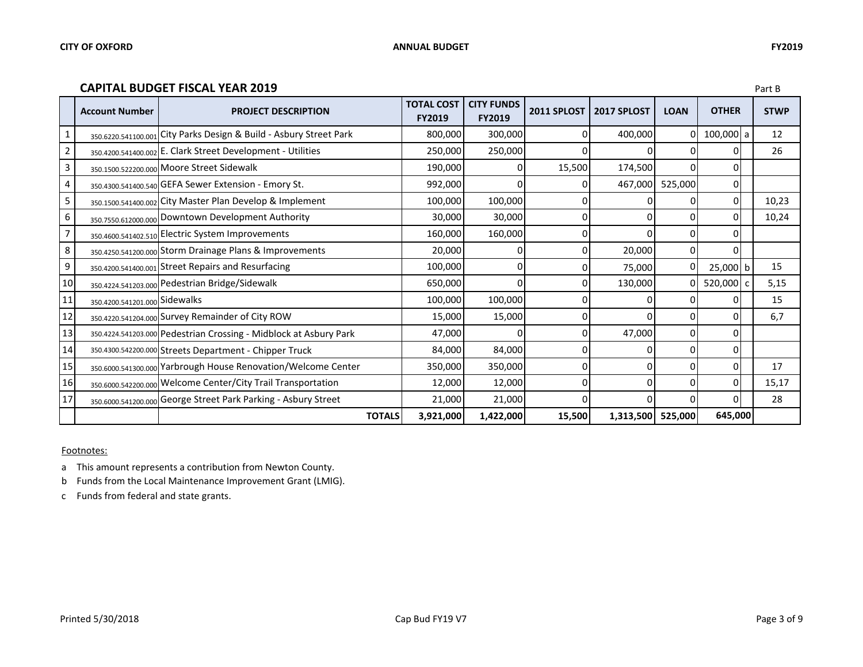#### **CAPITAL BUDGET FISCAL YEAR 2019** Part B

|    | <b>Account Number</b>         | <b>PROJECT DESCRIPTION</b>                                         | <b>TOTAL COST</b><br><b>FY2019</b> | <b>CITY FUNDS</b><br><b>FY2019</b> | 2011 SPLOST | 2017 SPLOST | <b>LOAN</b> | <b>OTHER</b>   | <b>STWP</b> |
|----|-------------------------------|--------------------------------------------------------------------|------------------------------------|------------------------------------|-------------|-------------|-------------|----------------|-------------|
|    |                               | 350.6220.541100.001 City Parks Design & Build - Asbury Street Park | 800,000                            | 300,000                            | 0           | 400,000     |             | 100,000 a      | 12          |
| 2  | 350.4200.541400.002           | E. Clark Street Development - Utilities                            | 250,000                            | 250,000                            | 0           |             |             | 0              | 26          |
| 3  |                               | 350.1500.522200.000 Moore Street Sidewalk                          | 190,000                            | 0                                  | 15,500      | 174,500     |             | $\Omega$       |             |
| 4  |                               | 350.4300.541400.540 GEFA Sewer Extension - Emory St.               | 992,000                            | 0                                  | 0           | 467,000     | 525,000     | 0              |             |
| 5  |                               | 350.1500.541400.002 City Master Plan Develop & Implement           | 100,000                            | 100,000                            | 0           |             |             | 0              | 10,23       |
| 6  |                               | 350.7550.612000.000 Downtown Development Authority                 | 30,000                             | 30,000                             | 0           | $\Omega$    |             | $\overline{0}$ | 10,24       |
|    |                               | 350.4600.541402.510 Electric System Improvements                   | 160,000                            | 160,000                            | 0           | 0           |             | 0              |             |
| 8  |                               | 350.4250.541200.000 Storm Drainage Plans & Improvements            | 20,000                             | 0                                  | 0           | 20,000      |             | 0              |             |
| 9  |                               | 350.4200.541400.001 Street Repairs and Resurfacing                 | 100,000                            | 0                                  | 0           | 75,000      |             | $25,000$ b     | 15          |
| 10 |                               | 350.4224.541203.000 Pedestrian Bridge/Sidewalk                     | 650,000                            | 0                                  | 0           | 130,000     |             | 520,000 c      | 5,15        |
| 11 | 350.4200.541201.000 Sidewalks |                                                                    | 100,000                            | 100,000                            | 0           | U           |             | 0              | 15          |
| 12 |                               | 350.4220.541204.000 Survey Remainder of City ROW                   | 15,000                             | 15,000                             | 0           | 0           | U           | $\Omega$       | 6,7         |
| 13 |                               | 350.4224.541203.000 Pedestrian Crossing - Midblock at Asbury Park  | 47,000                             |                                    | 0           | 47,000      | 0           | $\Omega$       |             |
| 14 |                               | 350.4300.542200.000 Streets Department - Chipper Truck             | 84,000                             | 84,000                             | 0           | 0           |             | 0              |             |
| 15 | 350.6000.541300.000           | Yarbrough House Renovation/Welcome Center                          | 350,000                            | 350,000                            | 0           | 0           |             | $\Omega$       | 17          |
| 16 | 350.6000.542200.000           | <b>Welcome Center/City Trail Transportation</b>                    | 12,000                             | 12,000                             | 0           | $\Omega$    |             | $\Omega$       | 15,17       |
| 17 |                               | 350.6000.541200.000 George Street Park Parking - Asbury Street     | 21,000                             | 21,000                             | 0           | U           |             | 0              | 28          |
|    |                               | <b>TOTALS</b>                                                      | 3,921,000                          | 1,422,000                          | 15,500      | 1,313,500   | 525,000     | 645,000        |             |

#### Footnotes:

a This amount represents a contribution from Newton County.

b Funds from the Local Maintenance Improvement Grant (LMIG).

c Funds from federal and state grants.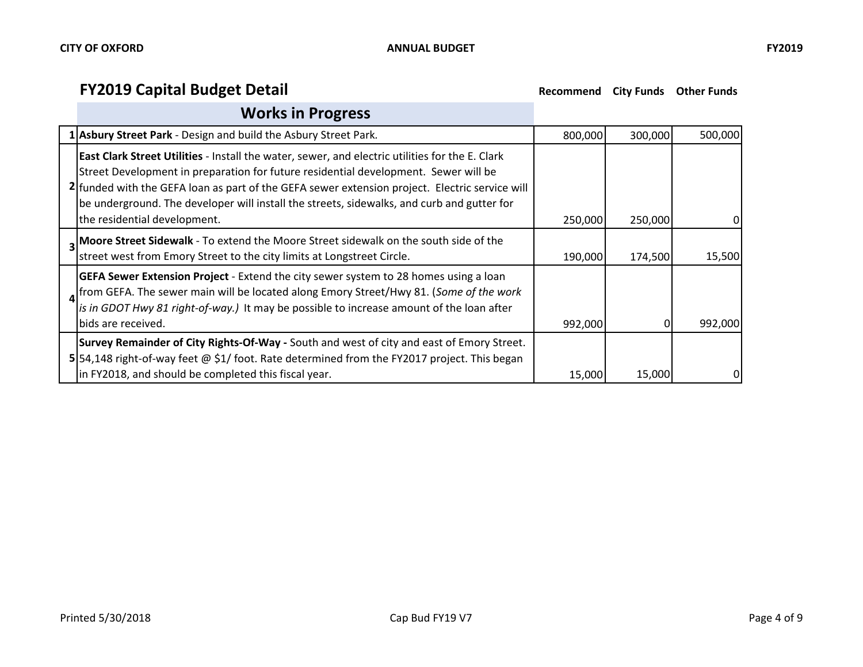#### **Works in Progress**

| 1 Asbury Street Park - Design and build the Asbury Street Park.                                                                                                                                                                                                                                                                                                                                                        | 800,000 | 300,000 | 500,000 |
|------------------------------------------------------------------------------------------------------------------------------------------------------------------------------------------------------------------------------------------------------------------------------------------------------------------------------------------------------------------------------------------------------------------------|---------|---------|---------|
| East Clark Street Utilities - Install the water, sewer, and electric utilities for the E. Clark<br>Street Development in preparation for future residential development. Sewer will be<br>2 funded with the GEFA loan as part of the GEFA sewer extension project. Electric service will<br>be underground. The developer will install the streets, sidewalks, and curb and gutter for<br>the residential development. | 250,000 | 250,000 |         |
| Moore Street Sidewalk - To extend the Moore Street sidewalk on the south side of the<br>street west from Emory Street to the city limits at Longstreet Circle.                                                                                                                                                                                                                                                         | 190,000 | 174,500 | 15,500  |
| GEFA Sewer Extension Project - Extend the city sewer system to 28 homes using a loan<br>from GEFA. The sewer main will be located along Emory Street/Hwy 81. (Some of the work<br>is in GDOT Hwy 81 right-of-way.) It may be possible to increase amount of the loan after<br>bids are received.                                                                                                                       | 992,000 |         | 992,000 |
| Survey Remainder of City Rights-Of-Way - South and west of city and east of Emory Street.<br>5 54,148 right-of-way feet @ \$1/ foot. Rate determined from the FY2017 project. This began<br>in FY2018, and should be completed this fiscal year.                                                                                                                                                                       | 15,000  | 15,000  | 0       |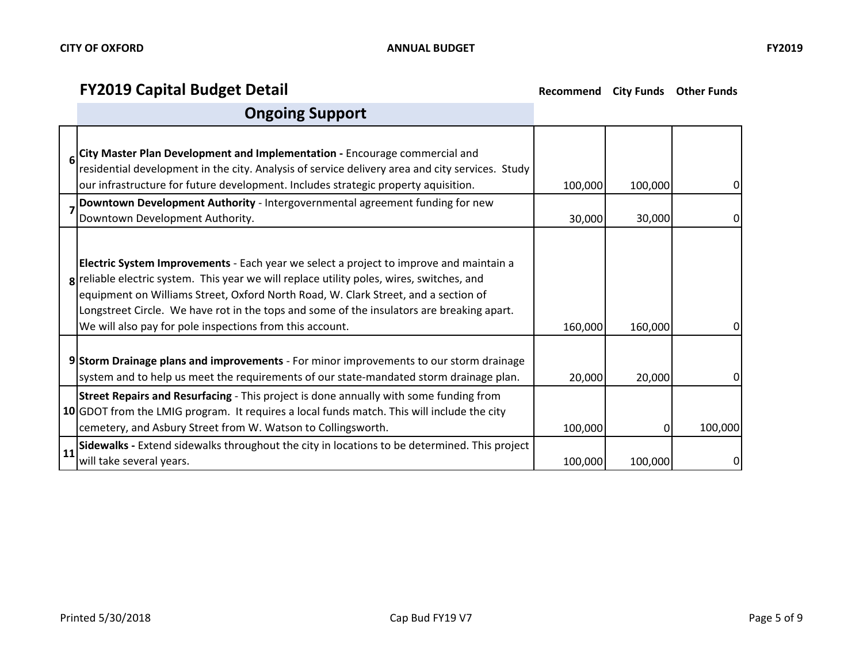$\blacksquare$ 

٦

# **FY2019 Capital Budget Detail Recommend** City Funds Other Funds

# **Ongoing Support**

|    | <b>City Master Plan Development and Implementation</b> - Encourage commercial and<br>  residential development in the city. Analysis of service delivery area and city services. Study<br>our infrastructure for future development. Includes strategic property aquisition.                                                                                                                                                       | 100,000 | 100,000 | 01      |
|----|------------------------------------------------------------------------------------------------------------------------------------------------------------------------------------------------------------------------------------------------------------------------------------------------------------------------------------------------------------------------------------------------------------------------------------|---------|---------|---------|
|    | Downtown Development Authority - Intergovernmental agreement funding for new<br>Downtown Development Authority.                                                                                                                                                                                                                                                                                                                    | 30,000  | 30,000  |         |
|    | Electric System Improvements - Each year we select a project to improve and maintain a<br>g reliable electric system. This year we will replace utility poles, wires, switches, and<br>equipment on Williams Street, Oxford North Road, W. Clark Street, and a section of<br>Longstreet Circle. We have rot in the tops and some of the insulators are breaking apart.<br>We will also pay for pole inspections from this account. | 160,000 | 160,000 | ΩI      |
|    | 9 Storm Drainage plans and improvements - For minor improvements to our storm drainage<br>system and to help us meet the requirements of our state-mandated storm drainage plan.                                                                                                                                                                                                                                                   | 20,000  | 20,000  |         |
|    | <b>Street Repairs and Resurfacing</b> - This project is done annually with some funding from<br>10 GDOT from the LMIG program. It requires a local funds match. This will include the city<br>cemetery, and Asbury Street from W. Watson to Collingsworth.                                                                                                                                                                         | 100,000 | 0       | 100,000 |
| 11 | Sidewalks - Extend sidewalks throughout the city in locations to be determined. This project<br>will take several years.                                                                                                                                                                                                                                                                                                           | 100,000 | 100,000 |         |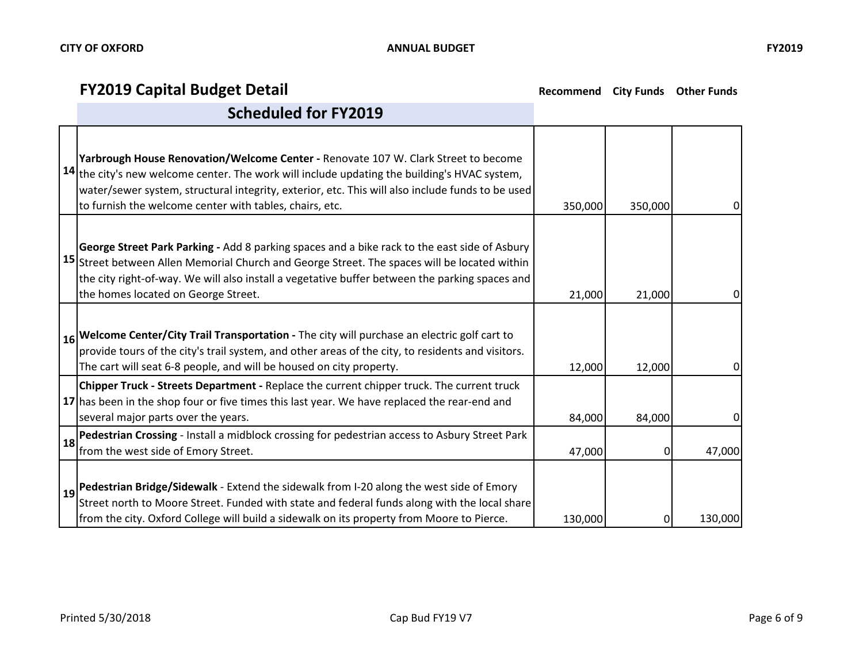|    | Yarbrough House Renovation/Welcome Center - Renovate 107 W. Clark Street to become<br>$ 14 $ the city's new welcome center. The work will include updating the building's HVAC system,<br>water/sewer system, structural integrity, exterior, etc. This will also include funds to be used<br>to furnish the welcome center with tables, chairs, etc. | 350,000 | 350,000 | 0       |
|----|-------------------------------------------------------------------------------------------------------------------------------------------------------------------------------------------------------------------------------------------------------------------------------------------------------------------------------------------------------|---------|---------|---------|
|    | George Street Park Parking - Add 8 parking spaces and a bike rack to the east side of Asbury<br>15 Street between Allen Memorial Church and George Street. The spaces will be located within<br>the city right-of-way. We will also install a vegetative buffer between the parking spaces and<br>the homes located on George Street.                 | 21,000  | 21,000  | 01      |
|    | 16 Welcome Center/City Trail Transportation - The city will purchase an electric golf cart to<br>provide tours of the city's trail system, and other areas of the city, to residents and visitors.<br>The cart will seat 6-8 people, and will be housed on city property.                                                                             | 12,000  | 12,000  | 0       |
|    | Chipper Truck - Streets Department - Replace the current chipper truck. The current truck<br>17 has been in the shop four or five times this last year. We have replaced the rear-end and<br>several major parts over the years.                                                                                                                      | 84,000  | 84,000  | 0       |
| 18 | Pedestrian Crossing - Install a midblock crossing for pedestrian access to Asbury Street Park<br>from the west side of Emory Street.                                                                                                                                                                                                                  | 47,000  | 0       | 47,000  |
|    | $\vert$ 19 Pedestrian Bridge/Sidewalk - Extend the sidewalk from I-20 along the west side of Emory<br>Street north to Moore Street. Funded with state and federal funds along with the local share<br>from the city. Oxford College will build a sidewalk on its property from Moore to Pierce.                                                       | 130,000 | 0       | 130,000 |

#### **Scheduled for FY2019**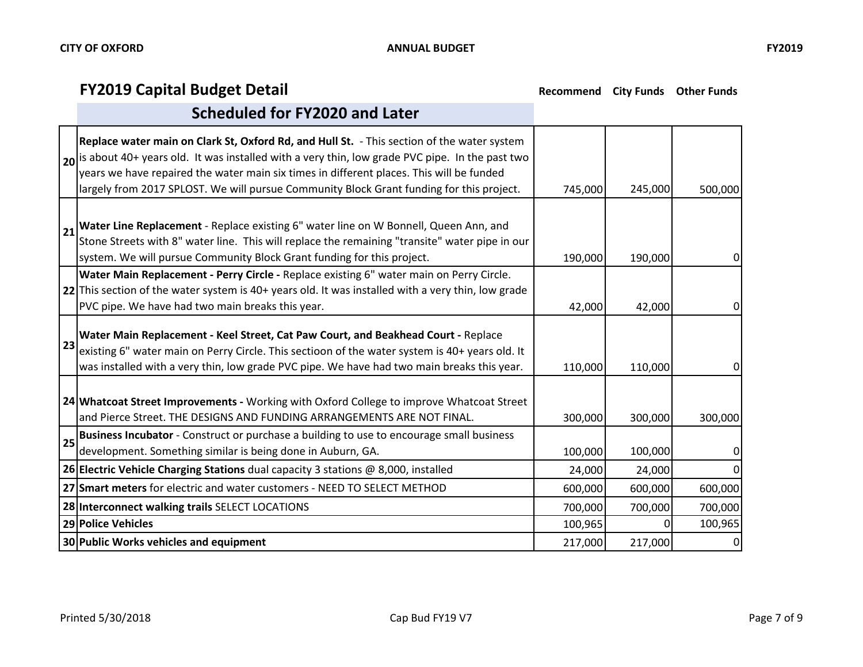|    | Replace water main on Clark St, Oxford Rd, and Hull St. - This section of the water system<br>$\vert$ <sub>20</sub> is about 40+ years old. It was installed with a very thin, low grade PVC pipe. In the past two<br>years we have repaired the water main six times in different places. This will be funded<br>largely from 2017 SPLOST. We will pursue Community Block Grant funding for this project. | 745,000 | 245,000 | 500,000          |
|----|------------------------------------------------------------------------------------------------------------------------------------------------------------------------------------------------------------------------------------------------------------------------------------------------------------------------------------------------------------------------------------------------------------|---------|---------|------------------|
|    | 21 Water Line Replacement - Replace existing 6" water line on W Bonnell, Queen Ann, and<br>Stone Streets with 8" water line. This will replace the remaining "transite" water pipe in our<br>system. We will pursue Community Block Grant funding for this project.                                                                                                                                        | 190,000 | 190,000 | $\mathbf 0$      |
|    | Water Main Replacement - Perry Circle - Replace existing 6" water main on Perry Circle.<br>22 This section of the water system is 40+ years old. It was installed with a very thin, low grade<br>PVC pipe. We have had two main breaks this year.                                                                                                                                                          | 42,000  | 42,000  | 0                |
| 23 | Water Main Replacement - Keel Street, Cat Paw Court, and Beakhead Court - Replace<br>existing 6" water main on Perry Circle. This sectioon of the water system is 40+ years old. It<br>was installed with a very thin, low grade PVC pipe. We have had two main breaks this year.                                                                                                                          | 110,000 | 110,000 | 0                |
|    | 24 Whatcoat Street Improvements - Working with Oxford College to improve Whatcoat Street<br>and Pierce Street. THE DESIGNS AND FUNDING ARRANGEMENTS ARE NOT FINAL.                                                                                                                                                                                                                                         | 300,000 | 300,000 | 300,000          |
| 25 | <b>Business Incubator</b> - Construct or purchase a building to use to encourage small business<br>development. Something similar is being done in Auburn, GA.                                                                                                                                                                                                                                             | 100,000 | 100,000 | $\boldsymbol{0}$ |
|    | <b>26 Electric Vehicle Charging Stations</b> dual capacity 3 stations @ 8,000, installed                                                                                                                                                                                                                                                                                                                   | 24,000  | 24,000  | $\Omega$         |
|    | 27 Smart meters for electric and water customers - NEED TO SELECT METHOD                                                                                                                                                                                                                                                                                                                                   | 600,000 | 600,000 | 600,000          |
|    | 28 Interconnect walking trails SELECT LOCATIONS                                                                                                                                                                                                                                                                                                                                                            | 700,000 | 700,000 | 700,000          |
|    | 29 Police Vehicles                                                                                                                                                                                                                                                                                                                                                                                         | 100,965 | 0       | 100,965          |
|    | 30 Public Works vehicles and equipment                                                                                                                                                                                                                                                                                                                                                                     | 217,000 | 217,000 | 0                |

#### **Scheduled for FY2020 and Later**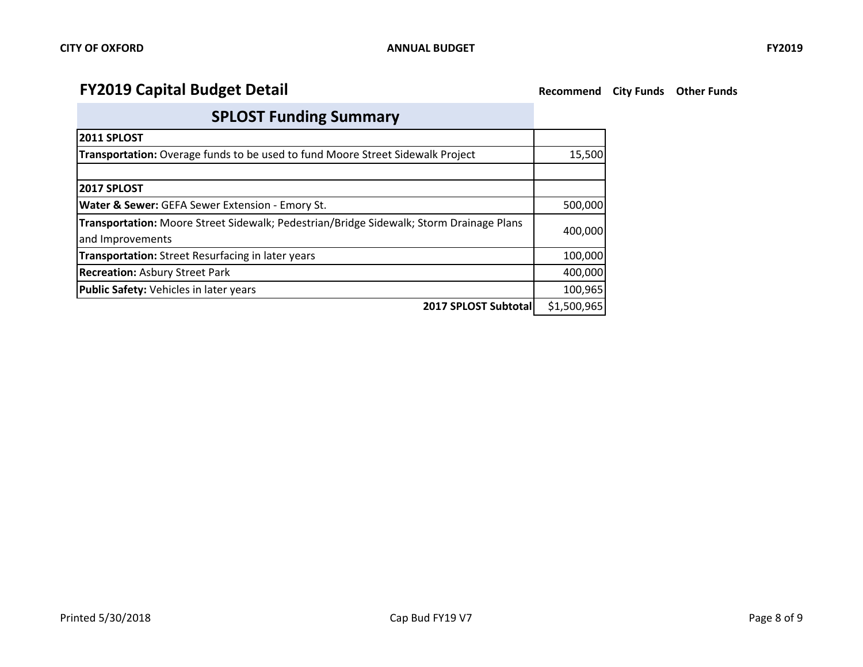# **SPLOST Funding Summary**

| <b>2011 SPLOST</b>                                                                      |             |  |  |  |
|-----------------------------------------------------------------------------------------|-------------|--|--|--|
| <b>Transportation:</b> Overage funds to be used to fund Moore Street Sidewalk Project   |             |  |  |  |
|                                                                                         |             |  |  |  |
| <b>2017 SPLOST</b>                                                                      |             |  |  |  |
| <b>Water &amp; Sewer:</b> GEFA Sewer Extension - Emory St.                              | 500,000     |  |  |  |
| Transportation: Moore Street Sidewalk; Pedestrian/Bridge Sidewalk; Storm Drainage Plans | 400,000     |  |  |  |
| and Improvements                                                                        |             |  |  |  |
| Transportation: Street Resurfacing in later years                                       | 100,000     |  |  |  |
| <b>Recreation: Asbury Street Park</b>                                                   | 400,000     |  |  |  |
| Public Safety: Vehicles in later years                                                  | 100,965     |  |  |  |
| 2017 SPLOST Subtotal                                                                    | \$1,500,965 |  |  |  |